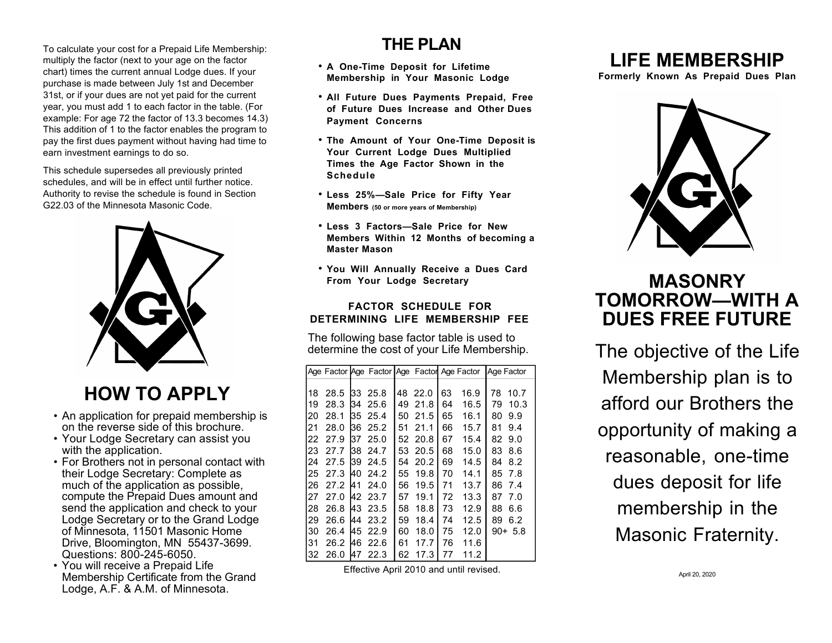To calculate your cost for a Prepaid Life Membership: multiply the factor (next to your age on the factor chart) times the current annual Lodge dues. If your purchase is made between July 1st and December 31st, or if your dues are not yet paid for the current year, you must add 1 to each factor in the table. (For example: For age 72 the factor of 13.3 becomes 14.3) This addition of 1 to the factor enables the program to pay the first dues payment without having had time to earn investment earnings to do so.

This schedule supersedes all previously printed schedules, and will be in effect until further notice. Authority to revise the schedule is found in Section G22.03 of the Minnesota Masonic Code.



# **HOW TO APPLY**

- An application for prepaid membership is on the reverse side of this brochure.
- Your Lodge Secretary can assist you with the application.
- For Brothers not in personal contact with their Lodge Secretary: Complete as much of the application as possible, compute the Prepaid Dues amount and send the application and check to your Lodge Secretary or to the Grand Lodge of Minnesota, 11501 Masonic Home Drive, Bloomington, MN 55437-3699. Questions: 800-245-6050.
- You will receive a Prepaid Life Membership Certificate from the Grand Lodge, A.F. & A.M. of Minnesota.

### **THE PLAN**

- **A One-Time Deposit for Lifetime Membership in Your Masonic Lodge**
- **All Future Dues Payments Prepaid, Free of Future Dues Increase and Other Dues Payment Concerns**
- **The Amount of Your One-Time Deposit is Your Current Lodge Dues Multiplied Times the Age Factor Shown in the Schedule**
- **Less 25%—Sale Price for Fifty Year Members (50 or more years of Membership)**
- **Less 3 Factors—Sale Price for New Members Within 12 Months of becoming a Master Mason**
- **You Will Annually Receive a Dues Card From Your Lodge Secretary**

#### **FACTOR SCHEDULE FOR DETERMINING LIFE MEMBERSHIP FEE**

The following base factor table is used to determine the cost of your Life Membership.

|    |      |     |                 |    |         |    |      | Age Factor Age Factor Age Factor Age Factor Age Factor |
|----|------|-----|-----------------|----|---------|----|------|--------------------------------------------------------|
|    |      |     |                 |    |         |    |      |                                                        |
| 18 | 28.5 |     | 33 25.8         |    | 48 22.0 | 63 | 16.9 | 78<br>10.7                                             |
| 19 | 28.3 | 134 | 25.6            | 49 | 21.8    | 64 | 16.5 | 79<br>10.3                                             |
| 20 | 28.1 | 135 | 25.4            | 50 | 21.5    | 65 | 16.1 | 9.9<br>80                                              |
| 21 | 28.0 | 136 | 25.2            | 51 | 21.1    | 66 | 15.7 | 81<br>9.4                                              |
| 22 | 27.9 | 137 | 25.0            |    | 52 20.8 | 67 | 15.4 | 82<br>9.0                                              |
| 23 | 27.7 | 138 | 24.7            | 53 | -20.5   | 68 | 15.0 | 83<br>8.6                                              |
| 24 | 27.5 | 139 | 24.5            | 54 | 20.2    | 69 | 14.5 | 8.2<br>84                                              |
| 25 | 27.3 | 140 | 24.2            | 55 | 19.8    | 70 | 14.1 | 85<br>7.8                                              |
| 26 | 27.2 | 141 | 24.0            | 56 | 19.5    | 71 | 13.7 | 86<br>7.4                                              |
| 27 | 27.0 |     | <b>I42 23.7</b> | 57 | 19.1    | 72 | 13.3 | 87<br>7.0                                              |
| 28 | 26.8 | 143 | 23.5            | 58 | 18.8    | 73 | 12.9 | 88<br>6.6                                              |
| 29 | 26.6 | 144 | 23.2            | 59 | 18.4    | 74 | 12.5 | 89<br>6.2                                              |
| 30 | 26.4 | 145 | 22.9            | 60 | 18.0    | 75 | 12.0 | $90 + 5.8$                                             |
| 31 | 26.2 | 146 | 22.6            | 61 | 17.7    | 76 | 11.6 |                                                        |
| 32 | 26.0 | 147 | 22.3            | 62 | 17.3    | 77 | 11.2 |                                                        |

Effective April 2010 and until revised.

## **LIFE MEMBERSHIP**

**Formerly Known As Prepaid Dues Plan**



## **MASONRY TOMORROW—WITH A DUES FREE FUTURE**

The objective of the Life Membership plan is to afford our Brothers the opportunity of making a reasonable, one-time dues deposit for life membership in the Masonic Fraternity.

April 20, 2020